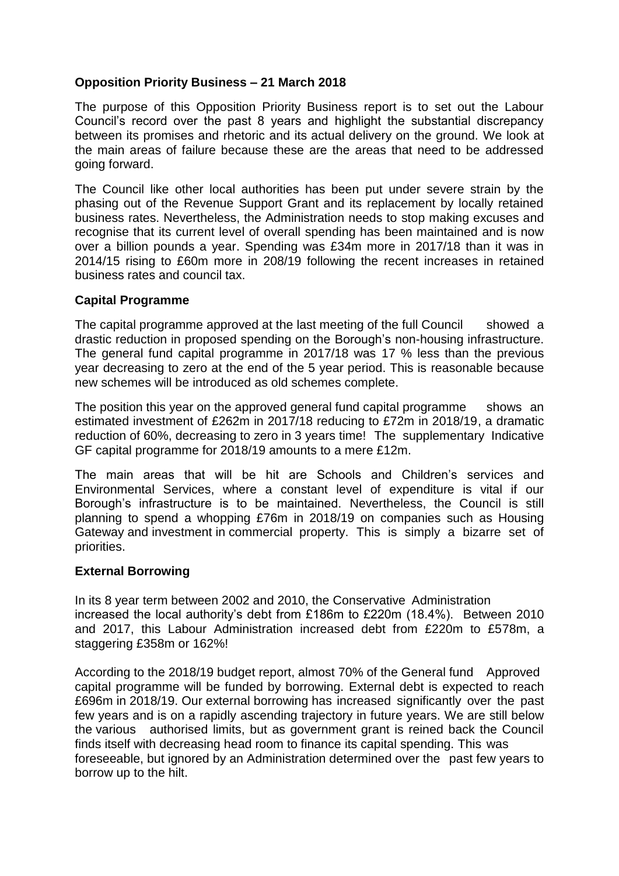## **Opposition Priority Business – 21 March 2018**

The purpose of this Opposition Priority Business report is to set out the Labour Council's record over the past 8 years and highlight the substantial discrepancy between its promises and rhetoric and its actual delivery on the ground. We look at the main areas of failure because these are the areas that need to be addressed going forward.

The Council like other local authorities has been put under severe strain by the phasing out of the Revenue Support Grant and its replacement by locally retained business rates. Nevertheless, the Administration needs to stop making excuses and recognise that its current level of overall spending has been maintained and is now over a billion pounds a year. Spending was £34m more in 2017/18 than it was in 2014/15 rising to £60m more in 208/19 following the recent increases in retained business rates and council tax.

## **Capital Programme**

The capital programme approved at the last meeting of the full Council showed a drastic reduction in proposed spending on the Borough's non-housing infrastructure. The general fund capital programme in 2017/18 was 17 % less than the previous year decreasing to zero at the end of the 5 year period. This is reasonable because new schemes will be introduced as old schemes complete.

The position this year on the approved general fund capital programme shows an estimated investment of £262m in 2017/18 reducing to £72m in 2018/19, a dramatic reduction of 60%, decreasing to zero in 3 years time! The supplementary Indicative GF capital programme for 2018/19 amounts to a mere £12m.

The main areas that will be hit are Schools and Children's services and Environmental Services, where a constant level of expenditure is vital if our Borough's infrastructure is to be maintained. Nevertheless, the Council is still planning to spend a whopping £76m in 2018/19 on companies such as Housing Gateway and investment in commercial property. This is simply a bizarre set of priorities.

## **External Borrowing**

In its 8 year term between 2002 and 2010, the Conservative Administration increased the local authority's debt from £186m to £220m (18.4%). Between 2010 and 2017, this Labour Administration increased debt from £220m to £578m, a staggering £358m or 162%!

According to the 2018/19 budget report, almost 70% of the General fund Approved capital programme will be funded by borrowing. External debt is expected to reach £696m in 2018/19. Our external borrowing has increased significantly over the past few years and is on a rapidly ascending trajectory in future years. We are still below the various authorised limits, but as government grant is reined back the Council finds itself with decreasing head room to finance its capital spending. This was foreseeable, but ignored by an Administration determined over the past few years to borrow up to the hilt.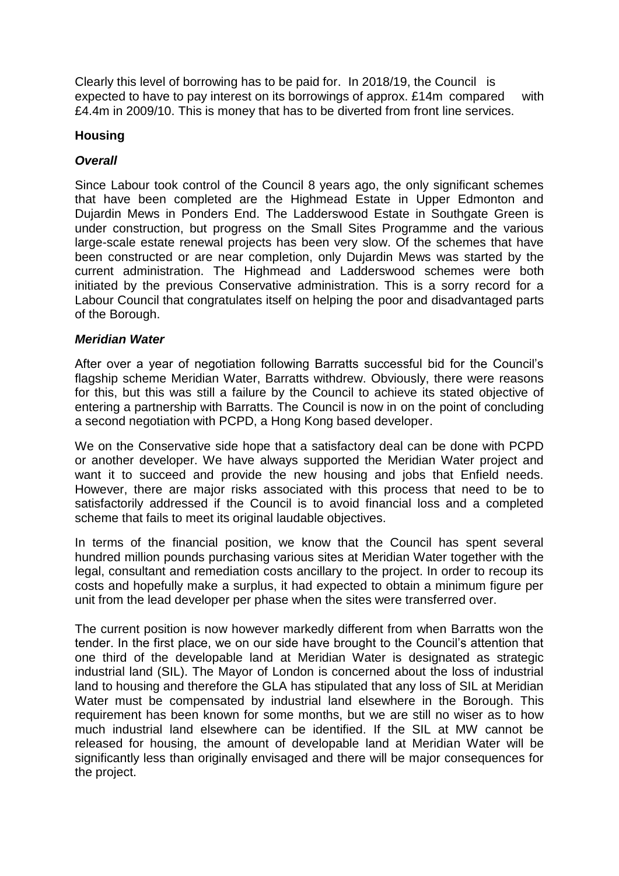Clearly this level of borrowing has to be paid for. In 2018/19, the Council is expected to have to pay interest on its borrowings of approx. £14m compared with £4.4m in 2009/10. This is money that has to be diverted from front line services.

## **Housing**

## *Overall*

Since Labour took control of the Council 8 years ago, the only significant schemes that have been completed are the Highmead Estate in Upper Edmonton and Dujardin Mews in Ponders End. The Ladderswood Estate in Southgate Green is under construction, but progress on the Small Sites Programme and the various large-scale estate renewal projects has been very slow. Of the schemes that have been constructed or are near completion, only Dujardin Mews was started by the current administration. The Highmead and Ladderswood schemes were both initiated by the previous Conservative administration. This is a sorry record for a Labour Council that congratulates itself on helping the poor and disadvantaged parts of the Borough.

## *Meridian Water*

After over a year of negotiation following Barratts successful bid for the Council's flagship scheme Meridian Water, Barratts withdrew. Obviously, there were reasons for this, but this was still a failure by the Council to achieve its stated objective of entering a partnership with Barratts. The Council is now in on the point of concluding a second negotiation with PCPD, a Hong Kong based developer.

We on the Conservative side hope that a satisfactory deal can be done with PCPD or another developer. We have always supported the Meridian Water project and want it to succeed and provide the new housing and jobs that Enfield needs. However, there are major risks associated with this process that need to be to satisfactorily addressed if the Council is to avoid financial loss and a completed scheme that fails to meet its original laudable objectives.

In terms of the financial position, we know that the Council has spent several hundred million pounds purchasing various sites at Meridian Water together with the legal, consultant and remediation costs ancillary to the project. In order to recoup its costs and hopefully make a surplus, it had expected to obtain a minimum figure per unit from the lead developer per phase when the sites were transferred over.

The current position is now however markedly different from when Barratts won the tender. In the first place, we on our side have brought to the Council's attention that one third of the developable land at Meridian Water is designated as strategic industrial land (SIL). The Mayor of London is concerned about the loss of industrial land to housing and therefore the GLA has stipulated that any loss of SIL at Meridian Water must be compensated by industrial land elsewhere in the Borough. This requirement has been known for some months, but we are still no wiser as to how much industrial land elsewhere can be identified. If the SIL at MW cannot be released for housing, the amount of developable land at Meridian Water will be significantly less than originally envisaged and there will be major consequences for the project.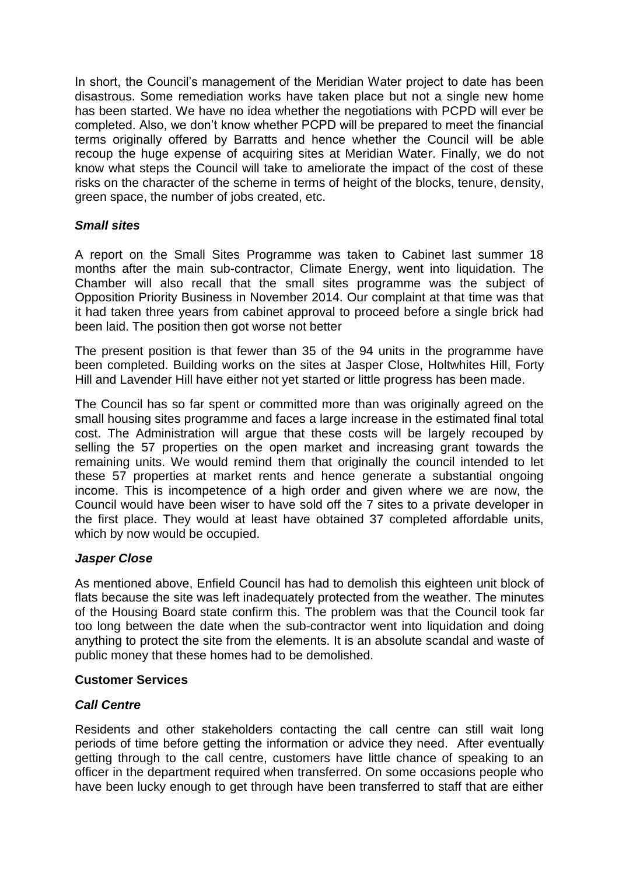In short, the Council's management of the Meridian Water project to date has been disastrous. Some remediation works have taken place but not a single new home has been started. We have no idea whether the negotiations with PCPD will ever be completed. Also, we don't know whether PCPD will be prepared to meet the financial terms originally offered by Barratts and hence whether the Council will be able recoup the huge expense of acquiring sites at Meridian Water. Finally, we do not know what steps the Council will take to ameliorate the impact of the cost of these risks on the character of the scheme in terms of height of the blocks, tenure, density, green space, the number of jobs created, etc.

## *Small sites*

A report on the Small Sites Programme was taken to Cabinet last summer 18 months after the main sub-contractor, Climate Energy, went into liquidation. The Chamber will also recall that the small sites programme was the subject of Opposition Priority Business in November 2014. Our complaint at that time was that it had taken three years from cabinet approval to proceed before a single brick had been laid. The position then got worse not better

The present position is that fewer than 35 of the 94 units in the programme have been completed. Building works on the sites at Jasper Close, Holtwhites Hill, Forty Hill and Lavender Hill have either not yet started or little progress has been made.

The Council has so far spent or committed more than was originally agreed on the small housing sites programme and faces a large increase in the estimated final total cost. The Administration will argue that these costs will be largely recouped by selling the 57 properties on the open market and increasing grant towards the remaining units. We would remind them that originally the council intended to let these 57 properties at market rents and hence generate a substantial ongoing income. This is incompetence of a high order and given where we are now, the Council would have been wiser to have sold off the 7 sites to a private developer in the first place. They would at least have obtained 37 completed affordable units, which by now would be occupied.

## *Jasper Close*

As mentioned above, Enfield Council has had to demolish this eighteen unit block of flats because the site was left inadequately protected from the weather. The minutes of the Housing Board state confirm this. The problem was that the Council took far too long between the date when the sub-contractor went into liquidation and doing anything to protect the site from the elements. It is an absolute scandal and waste of public money that these homes had to be demolished.

## **Customer Services**

# *Call Centre*

Residents and other stakeholders contacting the call centre can still wait long periods of time before getting the information or advice they need. After eventually getting through to the call centre, customers have little chance of speaking to an officer in the department required when transferred. On some occasions people who have been lucky enough to get through have been transferred to staff that are either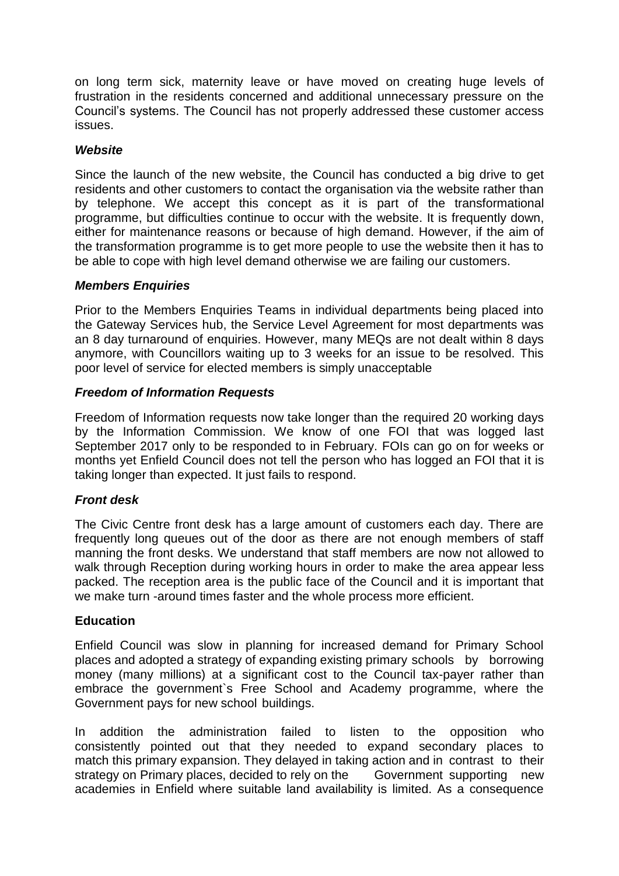on long term sick, maternity leave or have moved on creating huge levels of frustration in the residents concerned and additional unnecessary pressure on the Council's systems. The Council has not properly addressed these customer access issues.

## *Website*

Since the launch of the new website, the Council has conducted a big drive to get residents and other customers to contact the organisation via the website rather than by telephone. We accept this concept as it is part of the transformational programme, but difficulties continue to occur with the website. It is frequently down, either for maintenance reasons or because of high demand. However, if the aim of the transformation programme is to get more people to use the website then it has to be able to cope with high level demand otherwise we are failing our customers.

#### *Members Enquiries*

Prior to the Members Enquiries Teams in individual departments being placed into the Gateway Services hub, the Service Level Agreement for most departments was an 8 day turnaround of enquiries. However, many MEQs are not dealt within 8 days anymore, with Councillors waiting up to 3 weeks for an issue to be resolved. This poor level of service for elected members is simply unacceptable

#### *Freedom of Information Requests*

Freedom of Information requests now take longer than the required 20 working days by the Information Commission. We know of one FOI that was logged last September 2017 only to be responded to in February. FOIs can go on for weeks or months yet Enfield Council does not tell the person who has logged an FOI that it is taking longer than expected. It just fails to respond.

## *Front desk*

The Civic Centre front desk has a large amount of customers each day. There are frequently long queues out of the door as there are not enough members of staff manning the front desks. We understand that staff members are now not allowed to walk through Reception during working hours in order to make the area appear less packed. The reception area is the public face of the Council and it is important that we make turn -around times faster and the whole process more efficient.

#### **Education**

Enfield Council was slow in planning for increased demand for Primary School places and adopted a strategy of expanding existing primary schools by borrowing money (many millions) at a significant cost to the Council tax-payer rather than embrace the government`s Free School and Academy programme, where the Government pays for new school buildings.

In addition the administration failed to listen to the opposition who consistently pointed out that they needed to expand secondary places to match this primary expansion. They delayed in taking action and in contrast to their strategy on Primary places, decided to rely on the Government supporting new academies in Enfield where suitable land availability is limited. As a consequence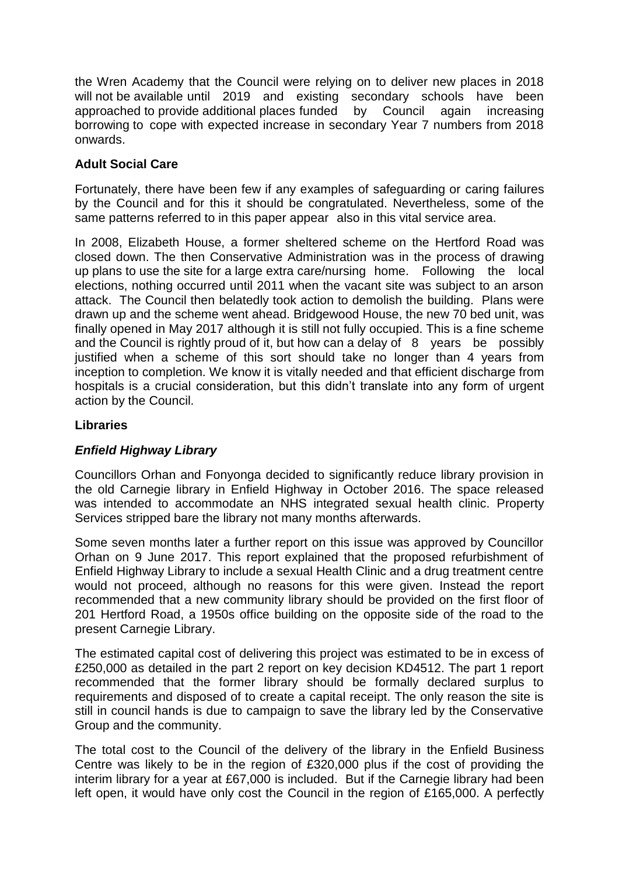the Wren Academy that the Council were relying on to deliver new places in 2018 will not be available until 2019 and existing secondary schools have been approached to provide additional places funded by Council again increasing borrowing to cope with expected increase in secondary Year 7 numbers from 2018 onwards.

# **Adult Social Care**

Fortunately, there have been few if any examples of safeguarding or caring failures by the Council and for this it should be congratulated. Nevertheless, some of the same patterns referred to in this paper appear also in this vital service area.

In 2008, Elizabeth House, a former sheltered scheme on the Hertford Road was closed down. The then Conservative Administration was in the process of drawing up plans to use the site for a large extra care/nursing home. Following the local elections, nothing occurred until 2011 when the vacant site was subject to an arson attack. The Council then belatedly took action to demolish the building. Plans were drawn up and the scheme went ahead. Bridgewood House, the new 70 bed unit, was finally opened in May 2017 although it is still not fully occupied. This is a fine scheme and the Council is rightly proud of it, but how can a delay of 8 years be possibly justified when a scheme of this sort should take no longer than 4 years from inception to completion. We know it is vitally needed and that efficient discharge from hospitals is a crucial consideration, but this didn't translate into any form of urgent action by the Council.

# **Libraries**

# *Enfield Highway Library*

Councillors Orhan and Fonyonga decided to significantly reduce library provision in the old Carnegie library in Enfield Highway in October 2016. The space released was intended to accommodate an NHS integrated sexual health clinic. Property Services stripped bare the library not many months afterwards.

Some seven months later a further report on this issue was approved by Councillor Orhan on 9 June 2017. This report explained that the proposed refurbishment of Enfield Highway Library to include a sexual Health Clinic and a drug treatment centre would not proceed, although no reasons for this were given. Instead the report recommended that a new community library should be provided on the first floor of 201 Hertford Road, a 1950s office building on the opposite side of the road to the present Carnegie Library.

The estimated capital cost of delivering this project was estimated to be in excess of £250,000 as detailed in the part 2 report on key decision KD4512. The part 1 report recommended that the former library should be formally declared surplus to requirements and disposed of to create a capital receipt. The only reason the site is still in council hands is due to campaign to save the library led by the Conservative Group and the community.

The total cost to the Council of the delivery of the library in the Enfield Business Centre was likely to be in the region of £320,000 plus if the cost of providing the interim library for a year at £67,000 is included. But if the Carnegie library had been left open, it would have only cost the Council in the region of £165,000. A perfectly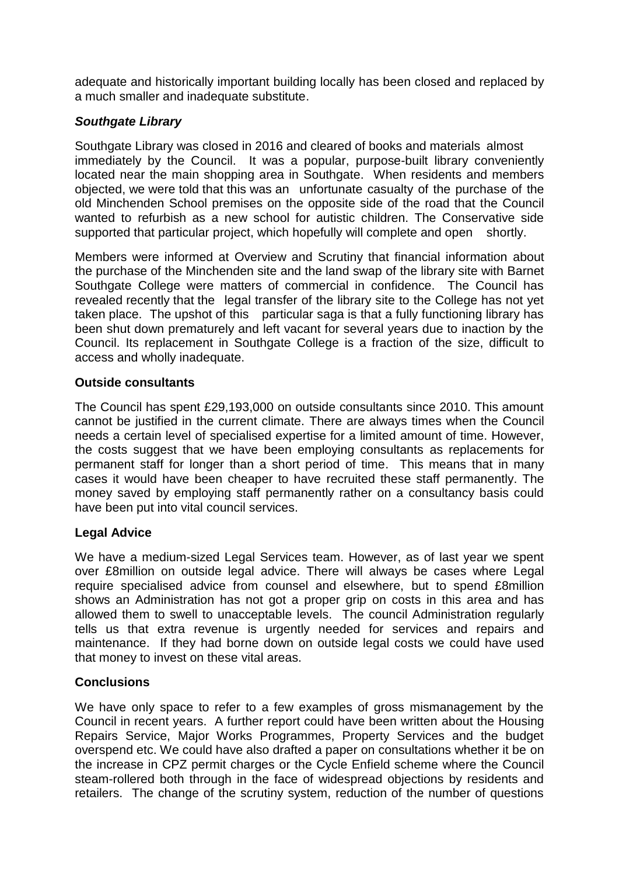adequate and historically important building locally has been closed and replaced by a much smaller and inadequate substitute.

## *Southgate Library*

Southgate Library was closed in 2016 and cleared of books and materials almost immediately by the Council. It was a popular, purpose-built library conveniently located near the main shopping area in Southgate. When residents and members objected, we were told that this was an unfortunate casualty of the purchase of the old Minchenden School premises on the opposite side of the road that the Council wanted to refurbish as a new school for autistic children. The Conservative side supported that particular project, which hopefully will complete and open shortly.

Members were informed at Overview and Scrutiny that financial information about the purchase of the Minchenden site and the land swap of the library site with Barnet Southgate College were matters of commercial in confidence. The Council has revealed recently that the legal transfer of the library site to the College has not yet taken place. The upshot of this particular saga is that a fully functioning library has been shut down prematurely and left vacant for several years due to inaction by the Council. Its replacement in Southgate College is a fraction of the size, difficult to access and wholly inadequate.

## **Outside consultants**

The Council has spent £29,193,000 on outside consultants since 2010. This amount cannot be justified in the current climate. There are always times when the Council needs a certain level of specialised expertise for a limited amount of time. However, the costs suggest that we have been employing consultants as replacements for permanent staff for longer than a short period of time. This means that in many cases it would have been cheaper to have recruited these staff permanently. The money saved by employing staff permanently rather on a consultancy basis could have been put into vital council services.

# **Legal Advice**

We have a medium-sized Legal Services team. However, as of last year we spent over £8million on outside legal advice. There will always be cases where Legal require specialised advice from counsel and elsewhere, but to spend £8million shows an Administration has not got a proper grip on costs in this area and has allowed them to swell to unacceptable levels. The council Administration regularly tells us that extra revenue is urgently needed for services and repairs and maintenance. If they had borne down on outside legal costs we could have used that money to invest on these vital areas.

# **Conclusions**

We have only space to refer to a few examples of gross mismanagement by the Council in recent years. A further report could have been written about the Housing Repairs Service, Major Works Programmes, Property Services and the budget overspend etc. We could have also drafted a paper on consultations whether it be on the increase in CPZ permit charges or the Cycle Enfield scheme where the Council steam-rollered both through in the face of widespread objections by residents and retailers. The change of the scrutiny system, reduction of the number of questions